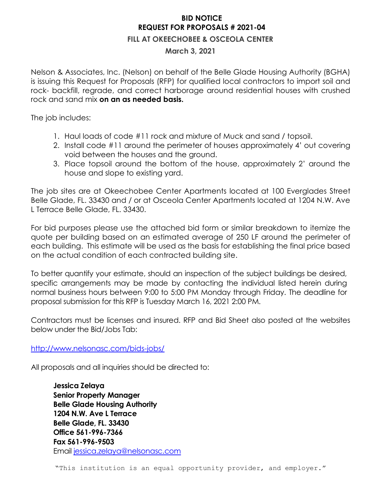## **BID NOTICE REQUEST FOR PROPOSALS # 2021-04**

## **FILL AT OKEECHOBEE & OSCEOLA CENTER**

## **March 3, 2021**

Nelson & Associates, Inc. (Nelson) on behalf of the Belle Glade Housing Authority (BGHA) is issuing this Request for Proposals (RFP) for qualified local contractors to import soil and rock- backfill, regrade, and correct harborage around residential houses with crushed rock and sand mix **on an as needed basis.** 

The job includes:

- 1. Haul loads of code #11 rock and mixture of Muck and sand / topsoil.
- 2. Install code #11 around the perimeter of houses approximately 4' out covering void between the houses and the ground.
- 3. Place topsoil around the bottom of the house, approximately 2' around the house and slope to existing yard.

The job sites are at Okeechobee Center Apartments located at 100 Everglades Street Belle Glade, FL. 33430 and / or at Osceola Center Apartments located at 1204 N.W. Ave L Terrace Belle Glade, FL. 33430.

For bid purposes please use the attached bid form or similar breakdown to itemize the quote per building based on an estimated average of 250 LF around the perimeter of each building. This estimate will be used as the basis for establishing the final price based on the actual condition of each contracted building site.

To better quantify your estimate, should an inspection of the subject buildings be desired, specific arrangements may be made by contacting the individual listed herein during normal business hours between 9:00 to 5:00 PM Monday through Friday. The deadline for proposal submission for this RFP is Tuesday March 16, 2021 2:00 PM.

Contractors must be licenses and insured. RFP and Bid Sheet also posted at the websites below under the Bid/Jobs Tab:

<http://www.nelsonasc.com/bids-jobs/>

All proposals and all inquiries should be directed to:

**Jessica Zelaya Senior Property Manager Belle Glade Housing Authority 1204 N.W. Ave L Terrace Belle Glade, FL. 33430 Office 561-996-7366 Fax 561-996-9503** Email [jessica.zelaya@nelsonasc.com](mailto:jessica.zelaya@nelsonasc.com)